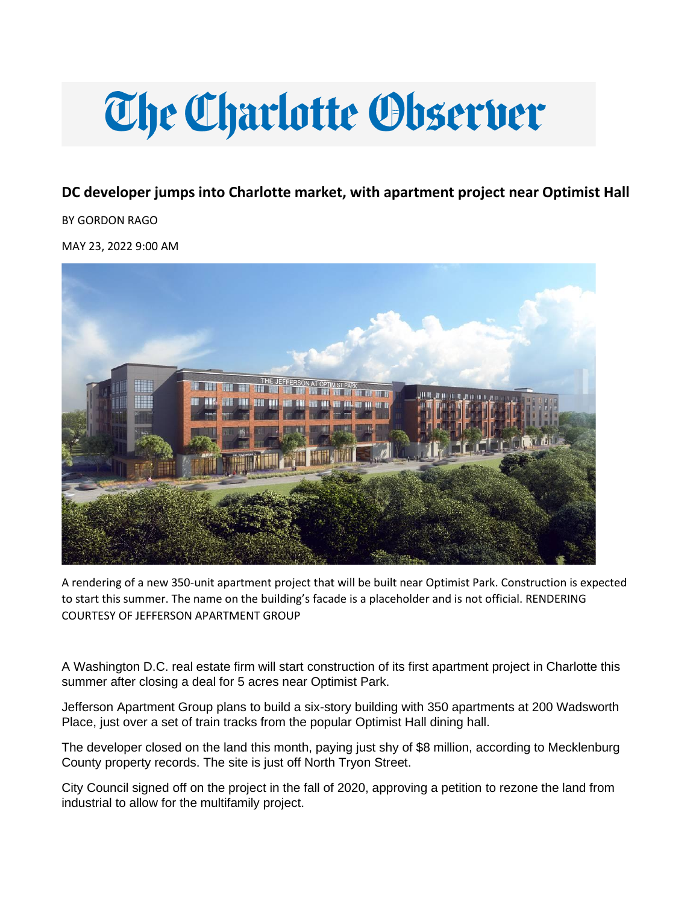# **The Charlotte Observer**

# **DC developer jumps into Charlotte market, with apartment project near Optimist Hall**

BY GORDON RAGO

MAY 23, 2022 9:00 AM



A rendering of a new 350-unit apartment project that will be built near Optimist Park. Construction is expected to start this summer. The name on the building's facade is a placeholder and is not official. RENDERING COURTESY OF JEFFERSON APARTMENT GROUP

A Washington D.C. real estate firm will start construction of its first apartment project in Charlotte this summer after closing a deal for 5 acres near Optimist Park.

Jefferson Apartment Group plans to build a six-story building with 350 apartments at 200 Wadsworth Place, just over a set of train tracks from the popular Optimist Hall dining hall.

The developer closed on the land this month, paying just shy of \$8 million, according to Mecklenburg County property records. The site is just off North Tryon Street.

City Council signed off on the project in the fall of 2020, approving a petition to rezone the land from industrial to allow for the multifamily project.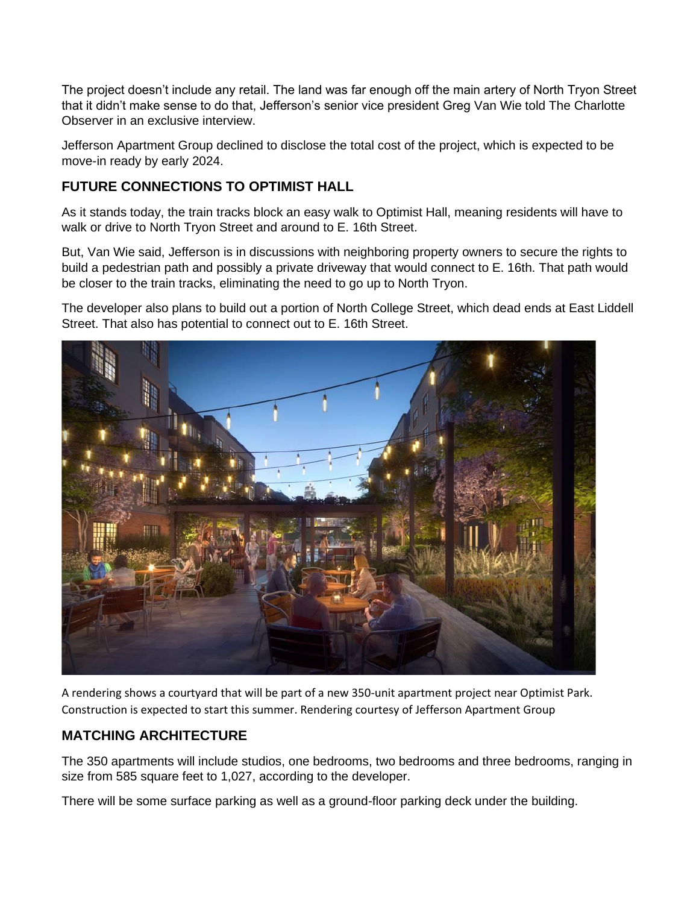The project doesn't include any retail. The land was far enough off the main artery of North Tryon Street that it didn't make sense to do that, Jefferson's senior vice president Greg Van Wie told The Charlotte Observer in an exclusive interview.

Jefferson Apartment Group declined to disclose the total cost of the project, which is expected to be move-in ready by early 2024.

### **FUTURE CONNECTIONS TO OPTIMIST HALL**

As it stands today, the train tracks block an easy walk to Optimist Hall, meaning residents will have to walk or drive to North Tryon Street and around to E. 16th Street.

But, Van Wie said, Jefferson is in discussions with neighboring property owners to secure the rights to build a pedestrian path and possibly a private driveway that would connect to E. 16th. That path would be closer to the train tracks, eliminating the need to go up to North Tryon.

The developer also plans to build out a portion of North College Street, which dead ends at East Liddell Street. That also has potential to connect out to E. 16th Street.



A rendering shows a courtyard that will be part of a new 350-unit apartment project near Optimist Park. Construction is expected to start this summer. Rendering courtesy of Jefferson Apartment Group

## **MATCHING ARCHITECTURE**

The 350 apartments will include studios, one bedrooms, two bedrooms and three bedrooms, ranging in size from 585 square feet to 1,027, according to the developer.

There will be some surface parking as well as a ground-floor parking deck under the building.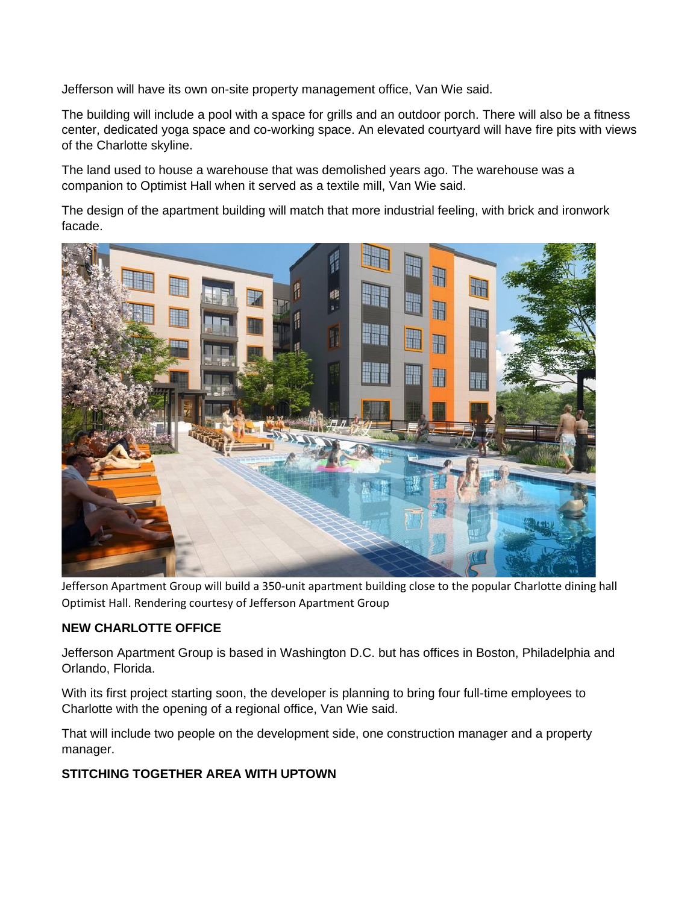Jefferson will have its own on-site property management office, Van Wie said.

The building will include a pool with a space for grills and an outdoor porch. There will also be a fitness center, dedicated yoga space and co-working space. An elevated courtyard will have fire pits with views of the Charlotte skyline.

The land used to house a warehouse that was demolished years ago. The warehouse was a companion to Optimist Hall when it served as a textile mill, Van Wie said.

The design of the apartment building will match that more industrial feeling, with brick and ironwork facade.



Jefferson Apartment Group will build a 350-unit apartment building close to the popular Charlotte dining hall Optimist Hall. Rendering courtesy of Jefferson Apartment Group

#### **NEW CHARLOTTE OFFICE**

Jefferson Apartment Group is based in Washington D.C. but has offices in Boston, Philadelphia and Orlando, Florida.

With its first project starting soon, the developer is planning to bring four full-time employees to Charlotte with the opening of a regional office, Van Wie said.

That will include two people on the development side, one construction manager and a property manager.

#### **STITCHING TOGETHER AREA WITH UPTOWN**